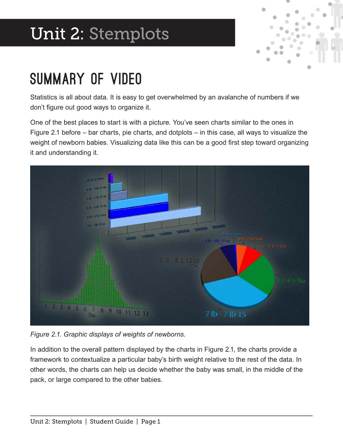# Unit 2: Stemplots



#### Summary of Video

Statistics is all about data. It is easy to get overwhelmed by an avalanche of numbers if we don't fgure out good ways to organize it.

One of the best places to start is with a picture. You've seen charts similar to the ones in Figure 2.1 before – bar charts, pie charts, and dotplots – in this case, all ways to visualize the weight of newborn babies. Visualizing data like this can be a good first step toward organizing it and understanding it.



*Figure 2.1. Graphic displays of weights of newborns.*

In addition to the overall pattern displayed by the charts in Figure 2.1, the charts provide a framework to contextualize a particular baby's birth weight relative to the rest of the data. In other words, the charts can help us decide whether the baby was small, in the middle of the pack, or large compared to the other babies.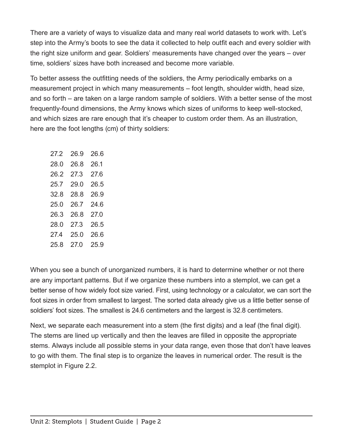There are a variety of ways to visualize data and many real world datasets to work with. Let's step into the Army's boots to see the data it collected to help outfit each and every soldier with the right size uniform and gear. Soldiers' measurements have changed over the years – over time, soldiers' sizes have both increased and become more variable.

To better assess the outftting needs of the soldiers, the Army periodically embarks on a measurement project in which many measurements – foot length, shoulder width, head size, and so forth – are taken on a large random sample of soldiers. With a better sense of the most frequently-found dimensions, the Army knows which sizes of uniforms to keep well-stocked, and which sizes are rare enough that it's cheaper to custom order them. As an illustration, here are the foot lengths (cm) of thirty soldiers:

| 27.2 | 26.9 | 26.6 |
|------|------|------|
| 28.0 | 26.8 | 26.1 |
| 26.2 | 27.3 | 27.6 |
| 25.7 | 29.0 | 26.5 |
| 32.8 | 28.8 | 26.9 |
| 25.0 | 26.7 | 24 6 |
| 26.3 | 26.8 | 27 O |
| 28.0 | 27 3 | 26.5 |
| 274  | 25.0 | 26.6 |
| 25.8 | 27 O | 25.9 |

When you see a bunch of unorganized numbers, it is hard to determine whether or not there are any important patterns. But if we organize these numbers into a stemplot, we can get a better sense of how widely foot size varied. First, using technology or a calculator, we can sort the foot sizes in order from smallest to largest. The sorted data already give us a little better sense of soldiers' foot sizes. The smallest is 24.6 centimeters and the largest is 32.8 centimeters.

Next, we separate each measurement into a stem (the first digits) and a leaf (the final digit). The stems are lined up vertically and then the leaves are flled in opposite the appropriate stems. Always include all possible stems in your data range, even those that don't have leaves to go with them. The final step is to organize the leaves in numerical order. The result is the stemplot in Figure 2.2.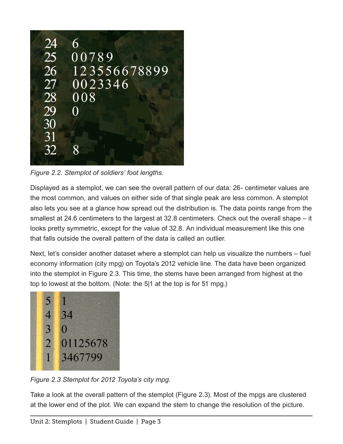

*Figure 2.2. Stemplot of soldiers' foot lengths.*

Displayed as a stemplot, we can see the overall pattern of our data: 26- centimeter values are the most common, and values on either side of that single peak are less common. A stemplot also lets you see at a glance how spread out the distribution is. The data points range from the smallest at 24.6 centimeters to the largest at 32.8 centimeters. Check out the overall shape – it looks pretty symmetric, except for the value of 32.8. An individual measurement like this one that falls outside the overall pattern of the data is called an outlier.

Next, let's consider another dataset where a stemplot can help us visualize the numbers – fuel economy information (city mpg) on Toyota's 2012 vehicle line. The data have been organized into the stemplot in Figure 2.3. This time, the stems have been arranged from highest at the top to lowest at the bottom. (Note: the 5|1 at the top is for 51 mpg.)



*Figure 2.3 Stemplot for 2012 Toyota's city mpg.*

Take a look at the overall pattern of the stemplot (Figure 2.3). Most of the mpgs are clustered at the lower end of the plot. We can expand the stem to change the resolution of the picture.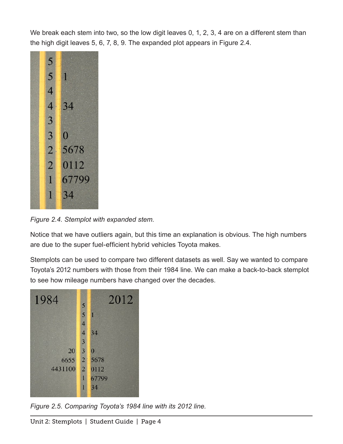We break each stem into two, so the low digit leaves 0, 1, 2, 3, 4 are on a different stem than the high digit leaves 5, 6, 7, 8, 9. The expanded plot appears in Figure 2.4.



*Figure 2.4. Stemplot with expanded stem.*

Notice that we have outliers again, but this time an explanation is obvious. The high numbers are due to the super fuel-efficient hybrid vehicles Toyota makes.

Stemplots can be used to compare two different datasets as well. Say we wanted to compare Toyota's 2012 numbers with those from their 1984 line. We can make a back-to-back stemplot to see how mileage numbers have changed over the decades.



*Figure 2.5. Comparing Toyota's 1984 line with its 2012 line.*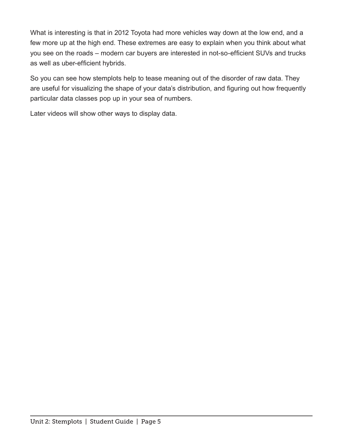What is interesting is that in 2012 Toyota had more vehicles way down at the low end, and a few more up at the high end. These extremes are easy to explain when you think about what you see on the roads – modern car buyers are interested in not-so-efficient SUVs and trucks as well as uber-efficient hybrids.

So you can see how stemplots help to tease meaning out of the disorder of raw data. They are useful for visualizing the shape of your data's distribution, and fguring out how frequently particular data classes pop up in your sea of numbers.

Later videos will show other ways to display data.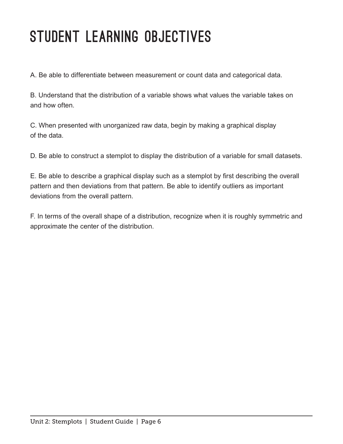### STUDENT LEARNING OBJECTIVES

A. Be able to differentiate between measurement or count data and categorical data.

B. Understand that the distribution of a variable shows what values the variable takes on and how often.

C. When presented with unorganized raw data, begin by making a graphical display of the data.

D. Be able to construct a stemplot to display the distribution of a variable for small datasets.

E. Be able to describe a graphical display such as a stemplot by frst describing the overall pattern and then deviations from that pattern. Be able to identify outliers as important deviations from the overall pattern.

F. In terms of the overall shape of a distribution, recognize when it is roughly symmetric and approximate the center of the distribution.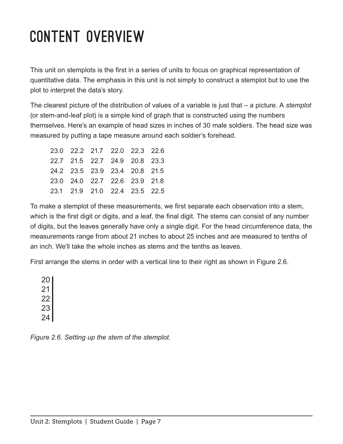## Content Overview

This unit on stemplots is the first in a series of units to focus on graphical representation of quantitative data. The emphasis in this unit is not simply to construct a stemplot but to use the plot to interpret the data's story.

The clearest picture of the distribution of values of a variable is just that – a picture. A *stemplot* (or stem-and-leaf plot) is a simple kind of graph that is constructed using the numbers themselves. Here's an example of head sizes in inches of 30 male soldiers. The head size was measured by putting a tape measure around each soldier's forehead.

| 23.0 22.2 21.7 22.0 22.3 22.6 |  |  |
|-------------------------------|--|--|
| 22.7 21.5 22.7 24.9 20.8 23.3 |  |  |
| 24.2 23.5 23.9 23.4 20.8 21.5 |  |  |
| 23.0 24.0 22.7 22.6 23.9 21.8 |  |  |
| 23.1 21.9 21.0 22.4 23.5 22.5 |  |  |

To make a stemplot of these measurements, we frst separate each observation into a stem, which is the first digit or digits, and a leaf, the final digit. The stems can consist of any number of digits, but the leaves generally have only a single digit. For the head circumference data, the measurements range from about 21 inches to about 25 inches and are measured to tenths of an inch. We'll take the whole inches as stems and the tenths as leaves.

First arrange the stems in order with a vertical line to their right as shown in Figure 2.6.

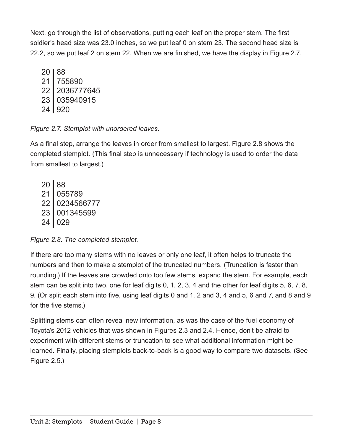Next, go through the list of observations, putting each leaf on the proper stem. The first soldier's head size was 23.0 inches, so we put leaf 0 on stem 23. The second head size is 22.2, so we put leaf 2 on stem 22. When we are fnished, we have the display in Figure 2.7.

20 88 21 755890 22 2036777645 23 035940915 24 920

*Figure 2.7. Stemplot with unordered leaves.*

As a fnal step, arrange the leaves in order from smallest to largest. Figure 2.8 shows the completed stemplot. (This final step is unnecessary if technology is used to order the data from smallest to largest.)

20 88 21 055789 22 0234566777 23 001345599 24 029

*Figure 2.8. The completed stemplot.*

If there are too many stems with no leaves or only one leaf, it often helps to truncate the numbers and then to make a stemplot of the truncated numbers. (Truncation is faster than rounding.) If the leaves are crowded onto too few stems, expand the stem. For example, each stem can be split into two, one for leaf digits 0, 1, 2, 3, 4 and the other for leaf digits 5, 6, 7, 8, 9. (Or split each stem into five, using leaf digits 0 and 1, 2 and 3, 4 and 5, 6 and 7, and 8 and 9 for the five stems.)

Splitting stems can often reveal new information, as was the case of the fuel economy of Toyota's 2012 vehicles that was shown in Figures 2.3 and 2.4. Hence, don't be afraid to experiment with different stems or truncation to see what additional information might be learned. Finally, placing stemplots back-to-back is a good way to compare two datasets. (See Figure 2.5.)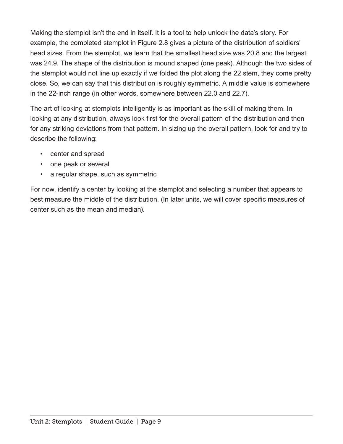Making the stemplot isn't the end in itself. It is a tool to help unlock the data's story. For example, the completed stemplot in Figure 2.8 gives a picture of the distribution of soldiers' head sizes. From the stemplot, we learn that the smallest head size was 20.8 and the largest was 24.9. The shape of the distribution is mound shaped (one peak). Although the two sides of the stemplot would not line up exactly if we folded the plot along the 22 stem, they come pretty close. So, we can say that this distribution is roughly symmetric. A middle value is somewhere in the 22-inch range (in other words, somewhere between 22.0 and 22.7).

The art of looking at stemplots intelligently is as important as the skill of making them. In looking at any distribution, always look first for the overall pattern of the distribution and then for any striking deviations from that pattern. In sizing up the overall pattern, look for and try to describe the following:

- center and spread
- one peak or several
- a regular shape, such as symmetric

For now, identify a center by looking at the stemplot and selecting a number that appears to best measure the middle of the distribution. (In later units, we will cover specifc measures of center such as the mean and median).